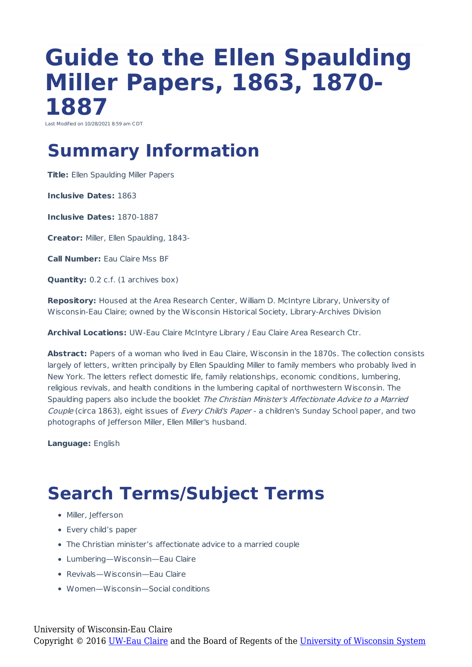## **Guide to the Ellen Spaulding Miller Papers, 1863, 1870- 1887**

Last Modified on 10/28/2021 8:59 am CDT

### **Summary Information**

**Title:** Ellen Spaulding Miller Papers

**Inclusive Dates:** 1863

**Inclusive Dates:** 1870-1887

**Creator:** Miller, Ellen Spaulding, 1843-

**Call Number:** Eau Claire Mss BF

**Quantity:** 0.2 c.f. (1 archives box)

**Repository:** Housed at the Area Research Center, William D. McIntyre Library, University of Wisconsin-Eau Claire; owned by the Wisconsin Historical Society, Library-Archives Division

**Archival Locations:** UW-Eau Claire McIntyre Library / Eau Claire Area Research Ctr.

**Abstract:** Papers of a woman who lived in Eau Claire, Wisconsin in the 1870s. The collection consists largely of letters, written principally by Ellen Spaulding Miller to family members who probably lived in New York. The letters reflect domestic life, family relationships, economic conditions, lumbering, religious revivals, and health conditions in the lumbering capital of northwestern Wisconsin. The Spaulding papers also include the booklet The Christian Minister's Affectionate Advice to a Married Couple (circa 1863), eight issues of Every Child's Paper - a children's Sunday School paper, and two photographs of Jefferson Miller, Ellen Miller's husband.

**Language:** English

## **Search Terms/Subject Terms**

- Miller, Jefferson
- Every child's paper
- The Christian minister's affectionate advice to a married couple
- Lumbering—Wisconsin—Eau Claire
- Revivals—Wisconsin—Eau Claire
- Women—Wisconsin—Social conditions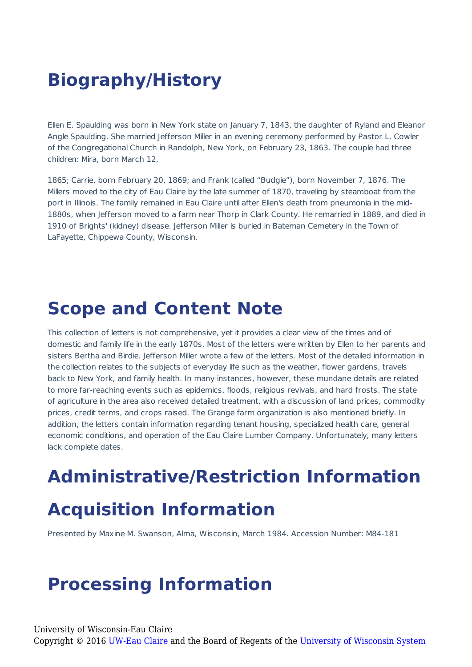## **Biography/History**

Ellen E. Spaulding was born in New York state on January 7, 1843, the daughter of Ryland and Eleanor Angle Spaulding. She married Jefferson Miller in an evening ceremony performed by Pastor L. Cowler of the Congregational Church in Randolph, New York, on February 23, 1863. The couple had three children: Mira, born March 12,

1865; Carrie, born February 20, 1869; and Frank (called "Budgie"), born November 7, 1876. The Millers moved to the city of Eau Claire by the late summer of 1870, traveling by steamboat from the port in Illinois. The family remained in Eau Claire until after Ellen's death from pneumonia in the mid-1880s, when Jefferson moved to a farm near Thorp in Clark County. He remarried in 1889, and died in 1910 of Brights' (kidney) disease. Jefferson Miller is buried in Bateman Cemetery in the Town of LaFayette, Chippewa County, Wisconsin.

#### **Scope and Content Note**

This collection of letters is not comprehensive, yet it provides a clear view of the times and of domestic and family life in the early 1870s. Most of the letters were written by Ellen to her parents and sisters Bertha and Birdie. Jefferson Miller wrote a few of the letters. Most of the detailed information in the collection relates to the subjects of everyday life such as the weather, flower gardens, travels back to New York, and family health. In many instances, however, these mundane details are related to more far-reaching events such as epidemics, floods, religious revivals, and hard frosts. The state of agriculture in the area also received detailed treatment, with a discussion of land prices, commodity prices, credit terms, and crops raised. The Grange farm organization is also mentioned briefly. In addition, the letters contain information regarding tenant housing, specialized health care, general economic conditions, and operation of the Eau Claire Lumber Company. Unfortunately, many letters lack complete dates.

# **Administrative/Restriction Information**

#### **Acquisition Information**

Presented by Maxine M. Swanson, Alma, Wisconsin, March 1984. Accession Number: M84-181

## **Processing Information**